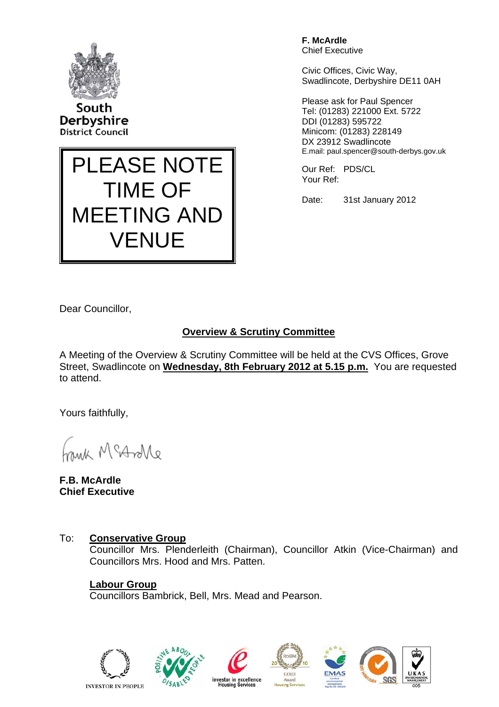

South Derbyshire **District Council** 



**F. McArdle**  Chief Executive

Civic Offices, Civic Way, Swadlincote, Derbyshire DE11 0AH

Please ask for Paul Spencer Tel: (01283) 221000 Ext. 5722 DDI (01283) 595722 Minicom: (01283) 228149 DX 23912 Swadlincote E.mail: paul.spencer@south-derbys.gov.uk

Our Ref: PDS/CL Your Ref:

Date: 31st January 2012

Dear Councillor,

# **Overview & Scrutiny Committee**

A Meeting of the Overview & Scrutiny Committee will be held at the CVS Offices, Grove Street, Swadlincote on **Wednesday, 8th February 2012 at 5.15 p.m.** You are requested to attend.

Yours faithfully,

Morton Mine

**F.B. McArdle Chief Executive** 

## To: **Conservative Group**

 Councillor Mrs. Plenderleith (Chairman), Councillor Atkin (Vice-Chairman) and Councillors Mrs. Hood and Mrs. Patten.

**Labour Group**  Councillors Bambrick, Bell, Mrs. Mead and Pearson.









GOLD

Award